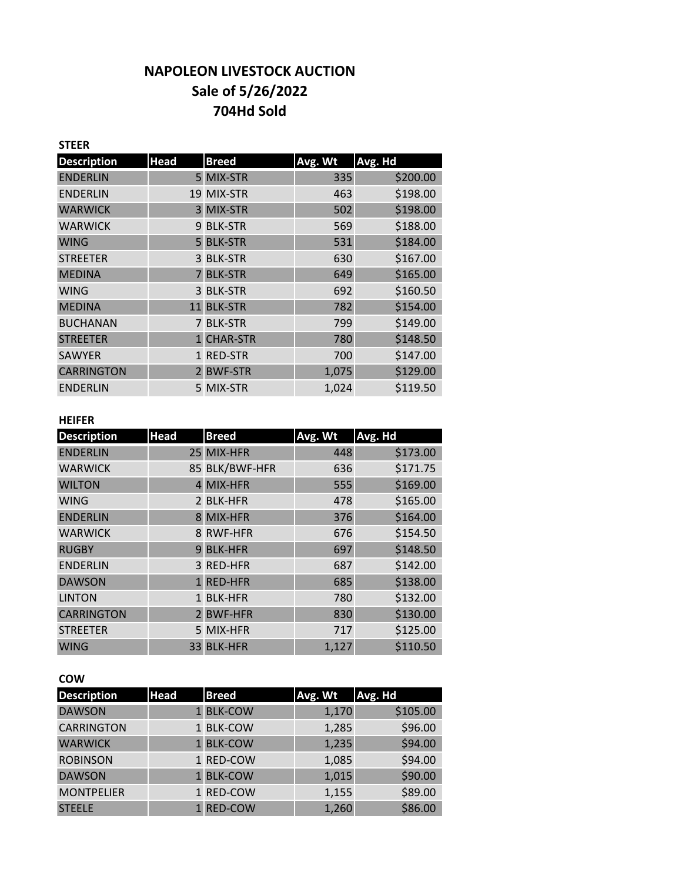# **NAPOLEON LIVESTOCK AUCTION Sale of 5/26/2022 704Hd Sold**

| <b>STEER</b>       |             |                |         |          |
|--------------------|-------------|----------------|---------|----------|
| <b>Description</b> | <b>Head</b> | <b>Breed</b>   | Avg. Wt | Avg. Hd  |
| <b>ENDERLIN</b>    |             | 5 MIX-STR      | 335     | \$200.00 |
| <b>ENDERLIN</b>    |             | 19 MIX-STR     | 463     | \$198.00 |
| <b>WARWICK</b>     |             | 3 MIX-STR      | 502     | \$198.00 |
| <b>WARWICK</b>     |             | 9 BLK-STR      | 569     | \$188.00 |
| <b>WING</b>        |             | 5 BLK-STR      | 531     | \$184.00 |
| <b>STREETER</b>    |             | 3 BLK-STR      | 630     | \$167.00 |
| <b>MEDINA</b>      |             | <b>BLK-STR</b> | 649     | \$165.00 |
| <b>WING</b>        |             | 3 BLK-STR      | 692     | \$160.50 |
| <b>MEDINA</b>      |             | 11 BLK-STR     | 782     | \$154.00 |
| <b>BUCHANAN</b>    |             | 7 BLK-STR      | 799     | \$149.00 |
| <b>STREETER</b>    |             | 1 CHAR-STR     | 780     | \$148.50 |
| <b>SAWYER</b>      |             | 1 RED-STR      | 700     | \$147.00 |
| <b>CARRINGTON</b>  |             | 2 BWF-STR      | 1,075   | \$129.00 |
| <b>ENDERLIN</b>    |             | 5 MIX-STR      | 1,024   | \$119.50 |

#### **HEIFER**

| <b>Description</b> | <b>Head</b> | <b>Breed</b>   | Avg. Wt | Avg. Hd  |
|--------------------|-------------|----------------|---------|----------|
| <b>ENDERLIN</b>    |             | 25 MIX-HFR     | 448     | \$173.00 |
| <b>WARWICK</b>     |             | 85 BLK/BWF-HFR | 636     | \$171.75 |
| <b>WILTON</b>      |             | 4 MIX-HFR      | 555     | \$169.00 |
| <b>WING</b>        |             | 2 BLK-HFR      | 478     | \$165.00 |
| <b>ENDERLIN</b>    |             | 8 MIX-HFR      | 376     | \$164.00 |
| <b>WARWICK</b>     |             | 8 RWF-HFR      | 676     | \$154.50 |
| <b>RUGBY</b>       |             | 9 BLK-HFR      | 697     | \$148.50 |
| <b>ENDERLIN</b>    |             | 3 RED-HFR      | 687     | \$142.00 |
| <b>DAWSON</b>      |             | 1 RED-HFR      | 685     | \$138.00 |
| <b>LINTON</b>      |             | 1 BLK-HFR      | 780     | \$132.00 |
| <b>CARRINGTON</b>  |             | 2 BWF-HFR      | 830     | \$130.00 |
| <b>STREETER</b>    |             | 5 MIX-HFR      | 717     | \$125.00 |
| <b>WING</b>        |             | 33 BLK-HFR     | 1,127   | \$110.50 |

## **COW**

| <b>Description</b> | <b>Head</b> | <b>Breed</b> | Avg. Wt | Avg. Hd  |
|--------------------|-------------|--------------|---------|----------|
| <b>DAWSON</b>      |             | 1 BLK-COW    | 1,170   | \$105.00 |
| <b>CARRINGTON</b>  |             | 1 BLK-COW    | 1,285   | \$96.00  |
| <b>WARWICK</b>     |             | 1 BLK-COW    | 1,235   | \$94.00  |
| <b>ROBINSON</b>    |             | 1 RED-COW    | 1,085   | \$94.00  |
| <b>DAWSON</b>      |             | 1 BLK-COW    | 1,015   | \$90.00  |
| <b>MONTPELIER</b>  |             | 1 RED-COW    | 1,155   | \$89.00  |
| <b>STEELE</b>      |             | 1 RED-COW    | 1,260   | \$86.00  |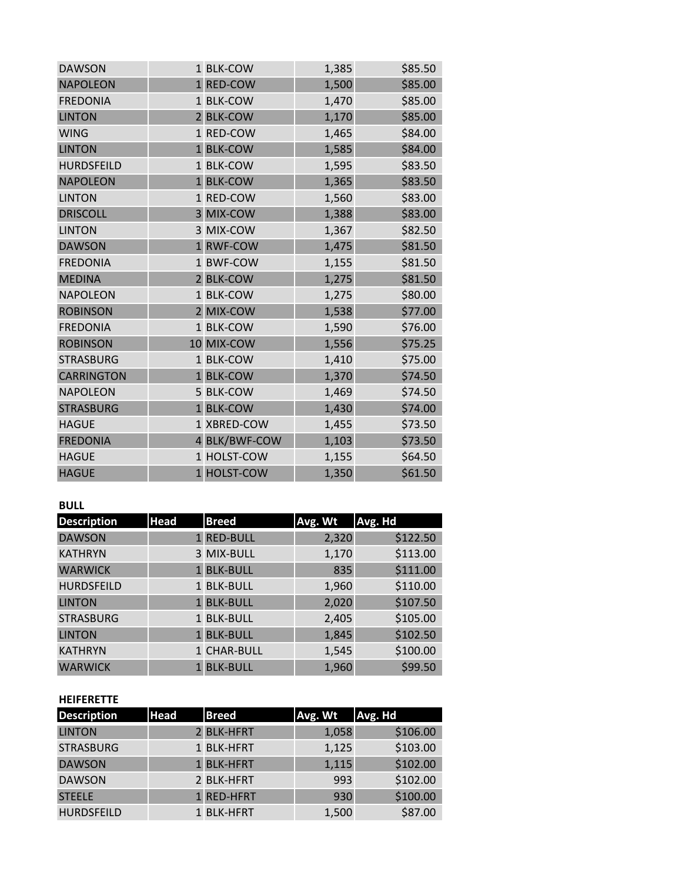| <b>DAWSON</b>     | 1 BLK-COW     | 1,385 | \$85.50 |
|-------------------|---------------|-------|---------|
| <b>NAPOLEON</b>   | 1 RED-COW     | 1,500 | \$85.00 |
| <b>FREDONIA</b>   | 1 BLK-COW     | 1,470 | \$85.00 |
| <b>LINTON</b>     | 2 BLK-COW     | 1,170 | \$85.00 |
| <b>WING</b>       | 1 RED-COW     | 1,465 | \$84.00 |
| <b>LINTON</b>     | 1 BLK-COW     | 1,585 | \$84.00 |
| <b>HURDSFEILD</b> | 1 BLK-COW     | 1,595 | \$83.50 |
| <b>NAPOLEON</b>   | 1 BLK-COW     | 1,365 | \$83.50 |
| <b>LINTON</b>     | 1 RED-COW     | 1,560 | \$83.00 |
| <b>DRISCOLL</b>   | 3 MIX-COW     | 1,388 | \$83.00 |
| <b>LINTON</b>     | 3 MIX-COW     | 1,367 | \$82.50 |
| <b>DAWSON</b>     | 1 RWF-COW     | 1,475 | \$81.50 |
| <b>FREDONIA</b>   | 1 BWF-COW     | 1,155 | \$81.50 |
| <b>MEDINA</b>     | 2 BLK-COW     | 1,275 | \$81.50 |
| <b>NAPOLEON</b>   | 1 BLK-COW     | 1,275 | \$80.00 |
| <b>ROBINSON</b>   | 2 MIX-COW     | 1,538 | \$77.00 |
| <b>FREDONIA</b>   | 1 BLK-COW     | 1,590 | \$76.00 |
| <b>ROBINSON</b>   | 10 MIX-COW    | 1,556 | \$75.25 |
| <b>STRASBURG</b>  | 1 BLK-COW     | 1,410 | \$75.00 |
| <b>CARRINGTON</b> | 1 BLK-COW     | 1,370 | \$74.50 |
| <b>NAPOLEON</b>   | 5 BLK-COW     | 1,469 | \$74.50 |
| <b>STRASBURG</b>  | 1 BLK-COW     | 1,430 | \$74.00 |
| <b>HAGUE</b>      | 1 XBRED-COW   | 1,455 | \$73.50 |
| <b>FREDONIA</b>   | 4 BLK/BWF-COW | 1,103 | \$73.50 |
| <b>HAGUE</b>      | 1 HOLST-COW   | 1,155 | \$64.50 |
| <b>HAGUE</b>      | 1 HOLST-COW   | 1,350 | \$61.50 |

## **BULL**

| <b>Description</b> | <b>Head</b> | <b>Breed</b> | Avg. Wt | Avg. Hd  |
|--------------------|-------------|--------------|---------|----------|
| <b>DAWSON</b>      |             | 1 RED-BULL   | 2,320   | \$122.50 |
| <b>KATHRYN</b>     |             | 3 MIX-BULL   | 1,170   | \$113.00 |
| <b>WARWICK</b>     |             | 1 BLK-BULL   | 835     | \$111.00 |
| <b>HURDSFEILD</b>  |             | 1 BLK-BULL   | 1,960   | \$110.00 |
| <b>LINTON</b>      |             | 1 BLK-BULL   | 2,020   | \$107.50 |
| <b>STRASBURG</b>   |             | 1 BLK-BULL   | 2,405   | \$105.00 |
| <b>LINTON</b>      |             | 1 BLK-BULL   | 1,845   | \$102.50 |
| <b>KATHRYN</b>     |             | 1 CHAR-BULL  | 1,545   | \$100.00 |
| <b>WARWICK</b>     |             | 1 BLK-BULL   | 1,960   | \$99.50  |

#### **HEIFERETTE**

| <b>Description</b> | <b>Head</b> | <b>Breed</b> | Avg. Wt | Avg. Hd  |
|--------------------|-------------|--------------|---------|----------|
| <b>LINTON</b>      |             | 2 BLK-HFRT   | 1,058   | \$106.00 |
| <b>STRASBURG</b>   |             | 1 BLK-HFRT   | 1,125   | \$103.00 |
| <b>DAWSON</b>      |             | 1 BLK-HFRT   | 1,115   | \$102.00 |
| <b>DAWSON</b>      |             | 2 BLK-HFRT   | 993     | \$102.00 |
| <b>STEELE</b>      |             | 1 RED-HFRT   | 930     | \$100.00 |
| <b>HURDSFEILD</b>  |             | 1 BLK-HFRT   | 1,500   | \$87.00  |